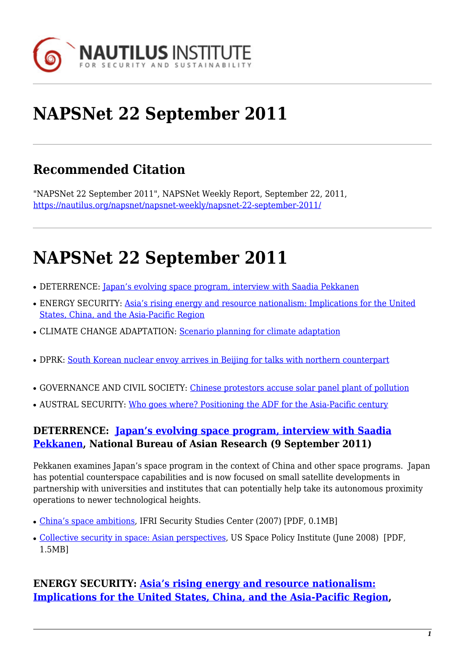

# **NAPSNet 22 September 2011**

# **Recommended Citation**

"NAPSNet 22 September 2011", NAPSNet Weekly Report, September 22, 2011, <https://nautilus.org/napsnet/napsnet-weekly/napsnet-22-september-2011/>

# **NAPSNet 22 September 2011**

- DETERRENCE: [Japan's evolving space program, interview with Saadia Pekkanen](http://nautilus.org/napsnet-22-september-2011#deterrence-japan-s-evolving)
- ENERGY SECURITY: [Asia's rising energy and resource nationalism: Implications for the United](#page-0-0) [States, China, and the Asia-Pacific Region](#page-0-0)
- CLIMATE CHANGE ADAPTATION: [Scenario planning for climate adaptation](#page-1-0)
- DPRK: [South Korean nuclear envoy arrives in Beijing for talks with northern counterpart](#page-1-1)
- GOVERNANCE AND CIVIL SOCIETY: [Chinese protestors accuse solar panel plant of pollution](#page-1-2)
- AUSTRAL SECURITY: [Who goes where? Positioning the ADF for the Asia-Pacific century](#page-2-0)

#### **DETERRENCE: [Japan's evolving space program, interview with Saadia](http://www.nbr.org/research/activity.aspx?id=173) [Pekkanen](http://www.nbr.org/research/activity.aspx?id=173), National Bureau of Asian Research (9 September 2011)**

Pekkanen examines Japan's space program in the context of China and other space programs. Japan has potential counterspace capabilities and is now focused on small satellite developments in partnership with universities and institutes that can potentially help take its autonomous proximity operations to newer technological heights.

- [China's space ambitions,](http://www.ifri.org/downloads/China_Space_Johnson_Freese.pdf) IFRI Security Studies Center (2007) [PDF, 0.1MB]
- [Collective security in space: Asian perspectives](http://www.gwu.edu/~spi/assets/docs/Collective-Security-in-Space---Asian-Perspectives---January-2008.pdf), US Space Policy Institute (June 2008) [PDF, 1.5MB]

### <span id="page-0-0"></span>**ENERGY SECURITY: [Asia's rising energy and resource nationalism:](http://www.nbr.org/publications/specialreport/pdf/Free/SR31_EnergySecurity.pdf) [Implications for the United States, China, and the Asia-Pacific Region,](http://www.nbr.org/publications/specialreport/pdf/Free/SR31_EnergySecurity.pdf)**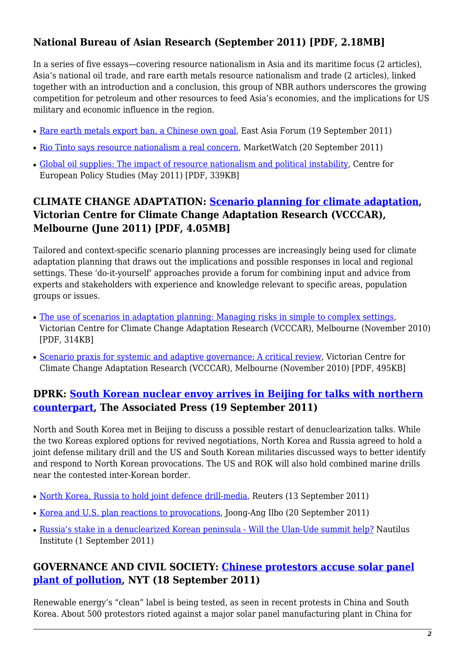# **National Bureau of Asian Research (September 2011) [PDF, 2.18MB]**

In a series of five essays—covering resource nationalism in Asia and its maritime focus (2 articles), Asia's national oil trade, and rare earth metals resource nationalism and trade (2 articles), linked together with an introduction and a conclusion, this group of NBR authors underscores the growing competition for petroleum and other resources to feed Asia's economies, and the implications for US military and economic influence in the region.

- [Rare earth metals export ban, a Chinese own goal,](http://www.eastasiaforum.org/2011/09/19/rare-earth-metals-export-ban-a-chinese-own-goal/) East Asia Forum (19 September 2011)
- [Rio Tinto says resource nationalism a real concern,](http://www.marketwatch.com/story/rio-tinto-says-resource-nationalism-a-real-concern-2011-09-20) MarketWatch (20 September 2011)
- [Global oil supplies: The impact of resource nationalism and political instability,](http://www.ceps.eu/ceps/download/5707) Centre for European Policy Studies (May 2011) [PDF, 339KB]

# <span id="page-1-0"></span>**CLIMATE CHANGE ADAPTATION: [Scenario planning for climate adaptation](http://www.vcccar.org.au/files/vcccar/Scenario-policy-brief-web-version-120711.pdf), Victorian Centre for Climate Change Adaptation Research (VCCCAR), Melbourne (June 2011) [PDF, 4.05MB]**

Tailored and context-specific scenario planning processes are increasingly being used for climate adaptation planning that draws out the implications and possible responses in local and regional settings. These 'do-it-yourself' approaches provide a forum for combining input and advice from experts and stakeholders with experience and knowledge relevant to specific areas, population groups or issues.

- [The use of scenarios in adaptation planning: Managing risks in simple to complex settings](http://www.vcccar.org.au/files/vcccar/Jones-scenarios-presentation-11-11-10.pdf), Victorian Centre for Climate Change Adaptation Research (VCCCAR), Melbourne (November 2010) [PDF, 314KB]
- [Scenario praxis for systemic and adaptive governance: A critical review,](http://www.vcccar.org.au/files/vcccar/Ison-et-al-revised-scenarios-presentation-250111.pdf) Victorian Centre for Climate Change Adaptation Research (VCCCAR), Melbourne (November 2010) [PDF, 495KB]

#### <span id="page-1-1"></span>**DPRK: [South Korean nuclear envoy arrives in Beijing for talks with northern](http://www.washingtonpost.com/world/asia-pacific/koreas-nuclear-talks-in-beijing-could-provide-crucial-push-to-restart-disarmament-talks/2011/09/19/gIQAExJieK_story.html) [counterpart,](http://www.washingtonpost.com/world/asia-pacific/koreas-nuclear-talks-in-beijing-could-provide-crucial-push-to-restart-disarmament-talks/2011/09/19/gIQAExJieK_story.html) The Associated Press (19 September 2011)**

North and South Korea met in Beijing to discuss a possible restart of denuclearization talks. While the two Koreas explored options for revived negotiations, North Korea and Russia agreed to hold a joint defense military drill and the US and South Korean militaries discussed ways to better identify and respond to North Korean provocations. The US and ROK will also hold combined marine drills near the contested inter-Korean border.

- [North Korea, Russia to hold joint defence drill-media,](http://www.asiaone.com/News/AsiaOne+News/World/Story/A1Story20110913-299214.html) Reuters (13 September 2011)
- [Korea and U.S. plan reactions to provocations](http://koreajoongangdaily.joinsmsn.com/news/article/html/686/2941686.html), Joong-Ang Ilbo (20 September 2011)
- [Russia's stake in a denuclearized Korean peninsula Will the Ulan-Ude summit help?](https://nautilus.org/publications/essays/napsnet/forum/TolorayaUlan-Ude) Nautilus Institute (1 September 2011)

### <span id="page-1-2"></span>**GOVERNANCE AND CIVIL SOCIETY: [Chinese protestors accuse solar panel](http://www.nytimes.com/2011/09/19/world/asia/chinese-protesters-accuse-solar-panel-plant-of-pollution.html?_r=2&ref=global-home) [plant of pollution,](http://www.nytimes.com/2011/09/19/world/asia/chinese-protesters-accuse-solar-panel-plant-of-pollution.html?_r=2&ref=global-home) NYT (18 September 2011)**

Renewable energy's "clean" label is being tested, as seen in recent protests in China and South Korea. About 500 protestors rioted against a major solar panel manufacturing plant in China for